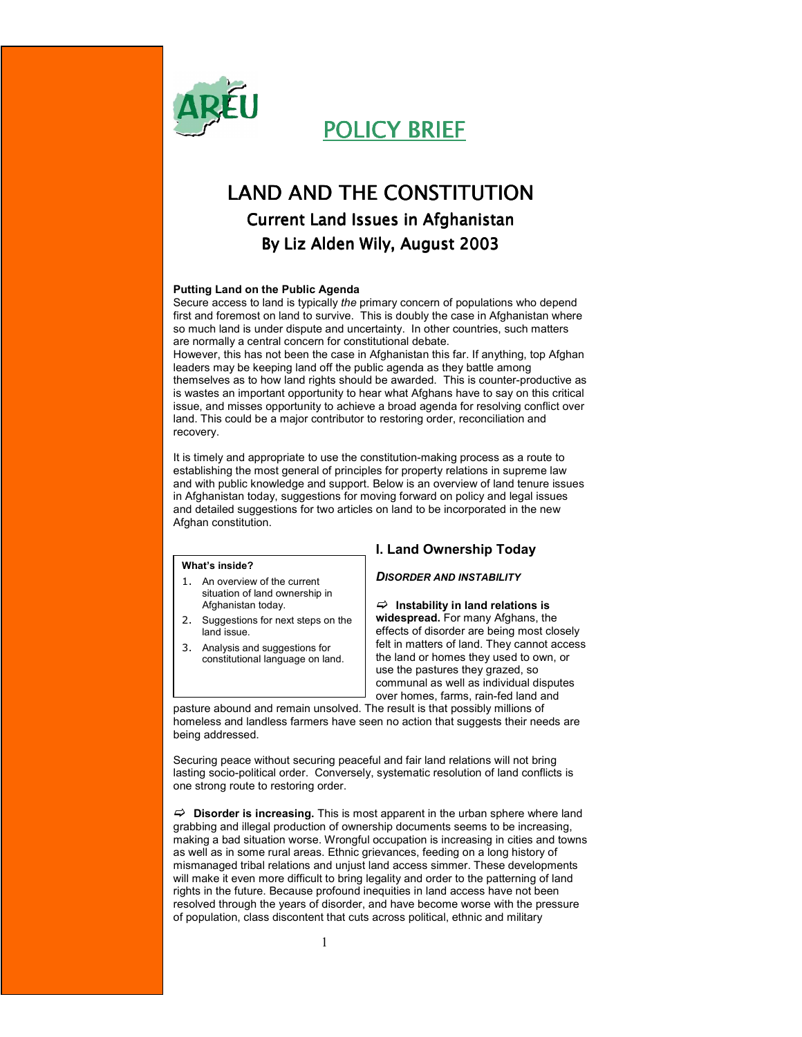

POLICY BRIEF

# LAND AND THE CONSTITUTION **Current Land Issues in Afghanistan** By Liz Alden Wily, August 2003

#### Putting Land on the Public Agenda

Secure access to land is typically the primary concern of populations who depend first and foremost on land to survive. This is doubly the case in Afghanistan where so much land is under dispute and uncertainty. In other countries, such matters are normally a central concern for constitutional debate.

However, this has not been the case in Afghanistan this far. If anything, top Afghan leaders may be keeping land off the public agenda as they battle among themselves as to how land rights should be awarded. This is counter-productive as is wastes an important opportunity to hear what Afghans have to say on this critical issue, and misses opportunity to achieve a broad agenda for resolving conflict over land. This could be a major contributor to restoring order, reconciliation and recovery.

It is timely and appropriate to use the constitution-making process as a route to establishing the most general of principles for property relations in supreme law and with public knowledge and support. Below is an overview of land tenure issues in Afghanistan today, suggestions for moving forward on policy and legal issues and detailed suggestions for two articles on land to be incorporated in the new Afghan constitution.

# What's inside?

- 1. An overview of the current situation of land ownership in Afghanistan today.
- 2. Suggestions for next steps on the land issue.
- 3. Analysis and suggestions for constitutional language on land.

# I. Land Ownership Today

### DISORDER AND INSTABILITY

 $\Rightarrow$  Instability in land relations is widespread. For many Afghans, the effects of disorder are being most closely felt in matters of land. They cannot access the land or homes they used to own, or use the pastures they grazed, so communal as well as individual disputes over homes, farms, rain-fed land and

pasture abound and remain unsolved. The result is that possibly millions of homeless and landless farmers have seen no action that suggests their needs are being addressed.

Securing peace without securing peaceful and fair land relations will not bring lasting socio-political order. Conversely, systematic resolution of land conflicts is one strong route to restoring order.

 $\Rightarrow$  Disorder is increasing. This is most apparent in the urban sphere where land grabbing and illegal production of ownership documents seems to be increasing, making a bad situation worse. Wrongful occupation is increasing in cities and towns as well as in some rural areas. Ethnic grievances, feeding on a long history of mismanaged tribal relations and unjust land access simmer. These developments will make it even more difficult to bring legality and order to the patterning of land rights in the future. Because profound inequities in land access have not been resolved through the years of disorder, and have become worse with the pressure of population, class discontent that cuts across political, ethnic and military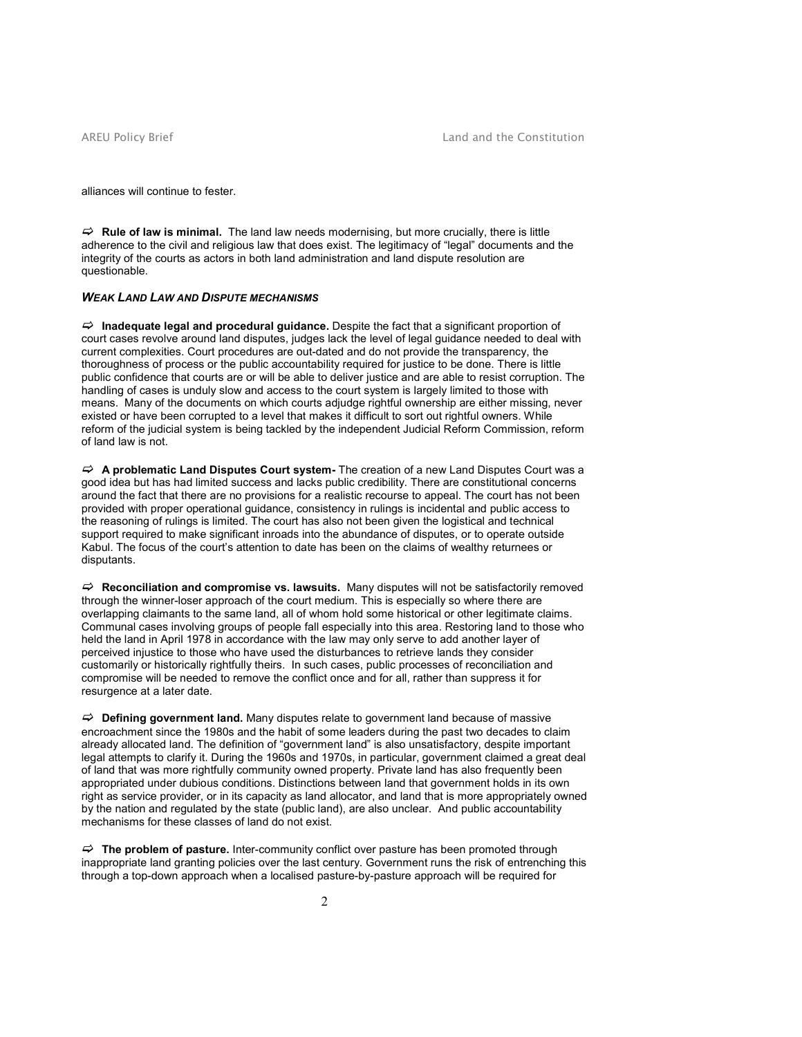alliances will continue to fester.

 $\Rightarrow$  Rule of law is minimal. The land law needs modernising, but more crucially, there is little adherence to the civil and religious law that does exist. The legitimacy of "legal" documents and the integrity of the courts as actors in both land administration and land dispute resolution are questionable.

# WEAK LAND LAW AND DISPUTE MECHANISMS

 $\Rightarrow$  Inadequate legal and procedural guidance. Despite the fact that a significant proportion of court cases revolve around land disputes, judges lack the level of legal guidance needed to deal with current complexities. Court procedures are out-dated and do not provide the transparency, the thoroughness of process or the public accountability required for justice to be done. There is little public confidence that courts are or will be able to deliver justice and are able to resist corruption. The handling of cases is unduly slow and access to the court system is largely limited to those with means. Many of the documents on which courts adjudge rightful ownership are either missing, never existed or have been corrupted to a level that makes it difficult to sort out rightful owners. While reform of the judicial system is being tackled by the independent Judicial Reform Commission, reform of land law is not.

 $\Rightarrow$  A problematic Land Disputes Court system- The creation of a new Land Disputes Court was a good idea but has had limited success and lacks public credibility. There are constitutional concerns around the fact that there are no provisions for a realistic recourse to appeal. The court has not been provided with proper operational guidance, consistency in rulings is incidental and public access to the reasoning of rulings is limited. The court has also not been given the logistical and technical support required to make significant inroads into the abundance of disputes, or to operate outside Kabul. The focus of the court's attention to date has been on the claims of wealthy returnees or disputants.

 $\Rightarrow$  Reconciliation and compromise vs. lawsuits. Many disputes will not be satisfactorily removed through the winner-loser approach of the court medium. This is especially so where there are overlapping claimants to the same land, all of whom hold some historical or other legitimate claims. Communal cases involving groups of people fall especially into this area. Restoring land to those who held the land in April 1978 in accordance with the law may only serve to add another layer of perceived injustice to those who have used the disturbances to retrieve lands they consider customarily or historically rightfully theirs. In such cases, public processes of reconciliation and compromise will be needed to remove the conflict once and for all, rather than suppress it for resurgence at a later date.

 $\Rightarrow$  Defining government land. Many disputes relate to government land because of massive encroachment since the 1980s and the habit of some leaders during the past two decades to claim already allocated land. The definition of "government land" is also unsatisfactory, despite important legal attempts to clarify it. During the 1960s and 1970s, in particular, government claimed a great deal of land that was more rightfully community owned property. Private land has also frequently been appropriated under dubious conditions. Distinctions between land that government holds in its own right as service provider, or in its capacity as land allocator, and land that is more appropriately owned by the nation and regulated by the state (public land), are also unclear. And public accountability mechanisms for these classes of land do not exist.

 $\Rightarrow$  The problem of pasture. Inter-community conflict over pasture has been promoted through inappropriate land granting policies over the last century. Government runs the risk of entrenching this through a top-down approach when a localised pasture-by-pasture approach will be required for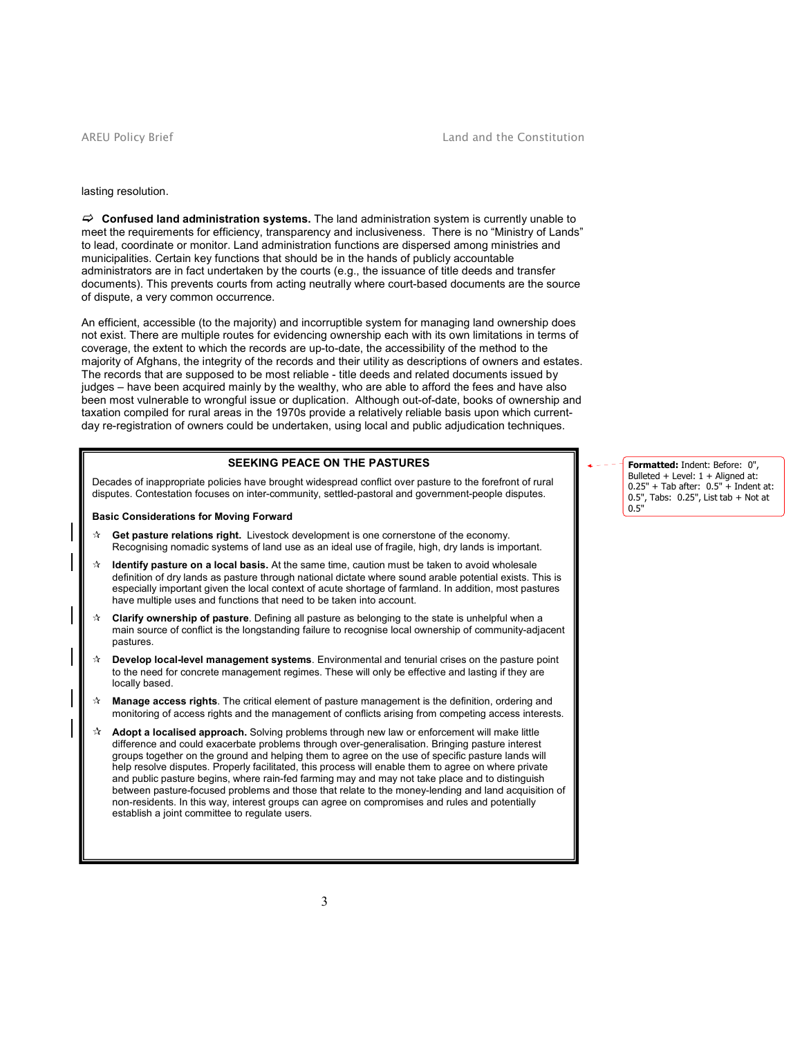#### AREU Policy Brief **Land and the Constitution**

#### lasting resolution.

 $\Rightarrow$  Confused land administration systems. The land administration system is currently unable to meet the requirements for efficiency, transparency and inclusiveness. There is no "Ministry of Lands" to lead, coordinate or monitor. Land administration functions are dispersed among ministries and municipalities. Certain key functions that should be in the hands of publicly accountable administrators are in fact undertaken by the courts (e.g., the issuance of title deeds and transfer documents). This prevents courts from acting neutrally where court-based documents are the source of dispute, a very common occurrence.

An efficient, accessible (to the majority) and incorruptible system for managing land ownership does not exist. There are multiple routes for evidencing ownership each with its own limitations in terms of coverage, the extent to which the records are up-to-date, the accessibility of the method to the majority of Afghans, the integrity of the records and their utility as descriptions of owners and estates. The records that are supposed to be most reliable - title deeds and related documents issued by judges – have been acquired mainly by the wealthy, who are able to afford the fees and have also been most vulnerable to wrongful issue or duplication. Although out-of-date, books of ownership and taxation compiled for rural areas in the 1970s provide a relatively reliable basis upon which currentday re-registration of owners could be undertaken, using local and public adjudication techniques.

# SEEKING PEACE ON THE PASTURES

Decades of inappropriate policies have brought widespread conflict over pasture to the forefront of rural disputes. Contestation focuses on inter-community, settled-pastoral and government-people disputes.

#### Basic Considerations for Moving Forward

- $\dot{\mathbf{x}}$  Get pasture relations right. Livestock development is one cornerstone of the economy. Recognising nomadic systems of land use as an ideal use of fragile, high, dry lands is important.
- $\dot{\mathbf{r}}$  Identify pasture on a local basis. At the same time, caution must be taken to avoid wholesale definition of dry lands as pasture through national dictate where sound arable potential exists. This is especially important given the local context of acute shortage of farmland. In addition, most pastures have multiple uses and functions that need to be taken into account.
- $\dot{\mathbf{r}}$  Clarify ownership of pasture. Defining all pasture as belonging to the state is unhelpful when a main source of conflict is the longstanding failure to recognise local ownership of community-adjacent pastures.
- Develop local-level management systems. Environmental and tenurial crises on the pasture point to the need for concrete management regimes. These will only be effective and lasting if they are locally based.
- $\star$  Manage access rights. The critical element of pasture management is the definition, ordering and monitoring of access rights and the management of conflicts arising from competing access interests.
- $\mathbf{\hat{x}}$  Adopt a localised approach. Solving problems through new law or enforcement will make little difference and could exacerbate problems through over-generalisation. Bringing pasture interest groups together on the ground and helping them to agree on the use of specific pasture lands will help resolve disputes. Properly facilitated, this process will enable them to agree on where private and public pasture begins, where rain-fed farming may and may not take place and to distinguish between pasture-focused problems and those that relate to the money-lending and land acquisition of non-residents. In this way, interest groups can agree on compromises and rules and potentially establish a joint committee to regulate users.

Formatted: Indent: Before: 0", Bulleted + Level: 1 + Aligned at: 0.25" + Tab after: 0.5" + Indent at: 0.5", Tabs: 0.25", List tab + Not at 0.5"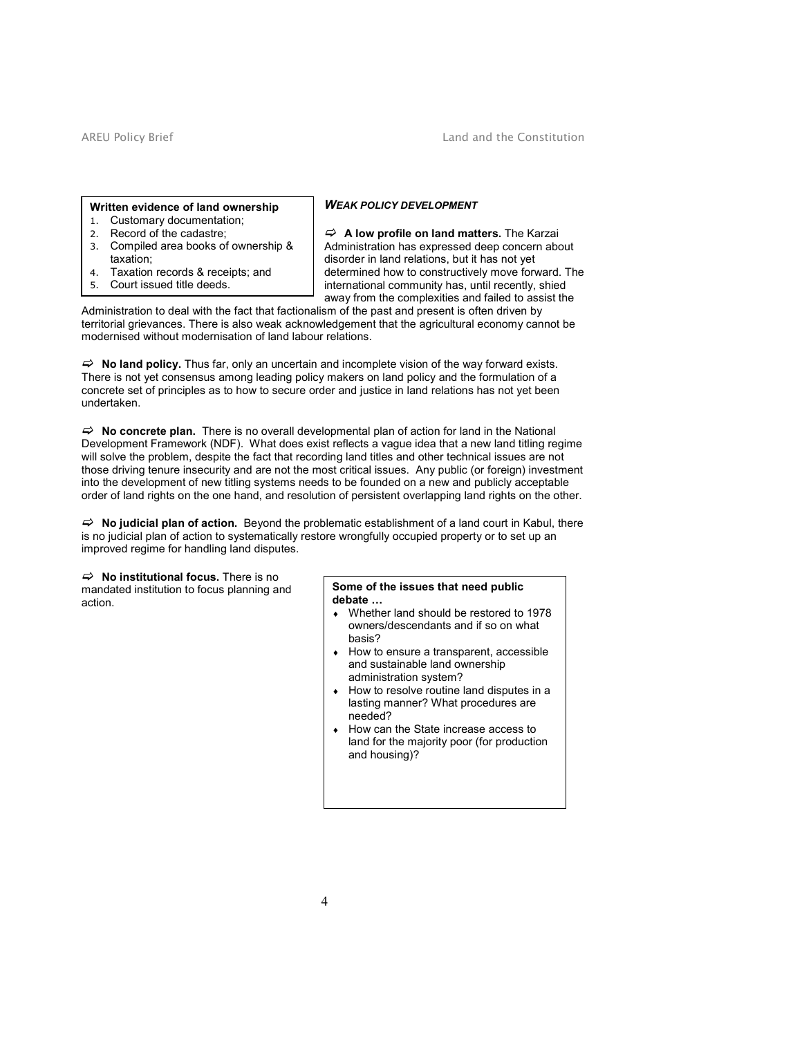#### Written evidence of land ownership

- 1. Customary documentation;
- 2. Record of the cadastre;
- 3. Compiled area books of ownership & taxation;
- 4. Taxation records & receipts; and
- 5. Court issued title deeds.

# WEAK POLICY DEVELOPMENT

 $\Rightarrow$  A low profile on land matters. The Karzai Administration has expressed deep concern about disorder in land relations, but it has not yet determined how to constructively move forward. The international community has, until recently, shied away from the complexities and failed to assist the

Administration to deal with the fact that factionalism of the past and present is often driven by territorial grievances. There is also weak acknowledgement that the agricultural economy cannot be modernised without modernisation of land labour relations.

 $\Rightarrow$  No land policy. Thus far, only an uncertain and incomplete vision of the way forward exists. There is not yet consensus among leading policy makers on land policy and the formulation of a concrete set of principles as to how to secure order and justice in land relations has not yet been undertaken.

 $\Rightarrow$  No concrete plan. There is no overall developmental plan of action for land in the National Development Framework (NDF). What does exist reflects a vague idea that a new land titling regime will solve the problem, despite the fact that recording land titles and other technical issues are not those driving tenure insecurity and are not the most critical issues. Any public (or foreign) investment into the development of new titling systems needs to be founded on a new and publicly acceptable order of land rights on the one hand, and resolution of persistent overlapping land rights on the other.

 $\Rightarrow$  No judicial plan of action. Beyond the problematic establishment of a land court in Kabul, there is no judicial plan of action to systematically restore wrongfully occupied property or to set up an improved regime for handling land disputes.

 $\Rightarrow$  No institutional focus. There is no mandated institution to focus planning and action.

# Some of the issues that need public

- debate …
- ♦ Whether land should be restored to 1978 owners/descendants and if so on what basis?
- ♦ How to ensure a transparent, accessible and sustainable land ownership administration system?
- How to resolve routine land disputes in a lasting manner? What procedures are needed?
- ♦ How can the State increase access to land for the majority poor (for production and housing)?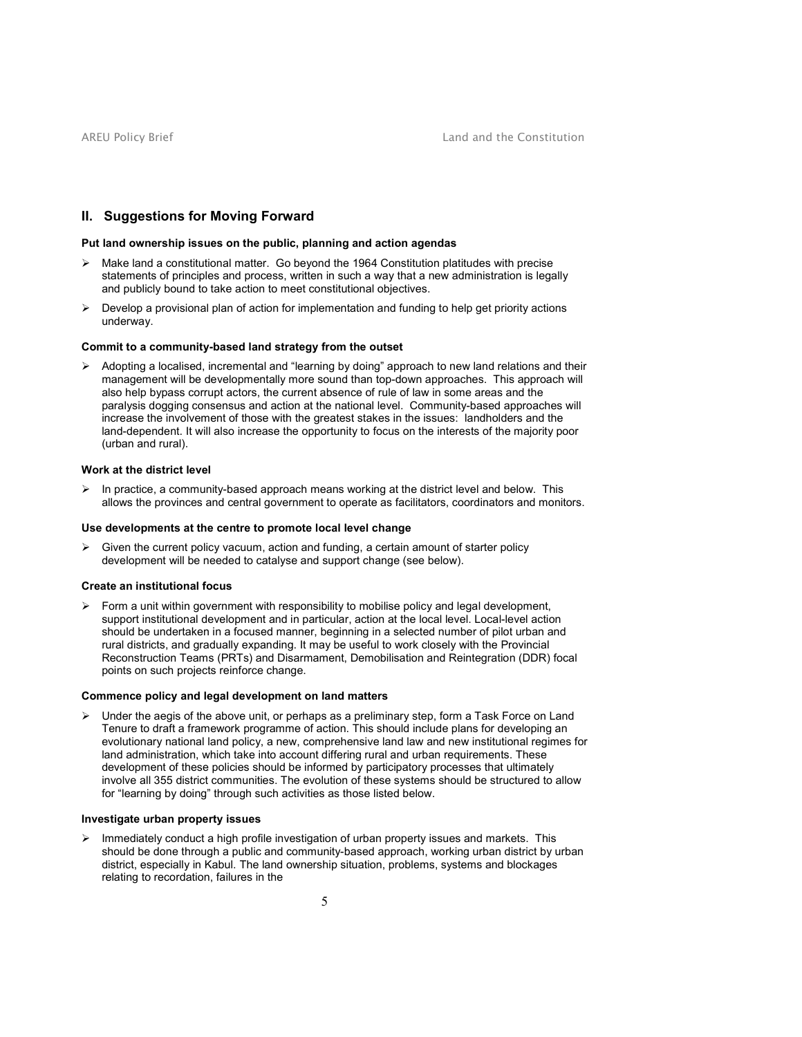# II. Suggestions for Moving Forward

# Put land ownership issues on the public, planning and action agendas

- > Make land a constitutional matter. Go beyond the 1964 Constitution platitudes with precise statements of principles and process, written in such a way that a new administration is legally and publicly bound to take action to meet constitutional objectives.
- $\triangleright$  Develop a provisional plan of action for implementation and funding to help get priority actions underway.

#### Commit to a community-based land strategy from the outset

> Adopting a localised, incremental and "learning by doing" approach to new land relations and their management will be developmentally more sound than top-down approaches. This approach will also help bypass corrupt actors, the current absence of rule of law in some areas and the paralysis dogging consensus and action at the national level. Community-based approaches will increase the involvement of those with the greatest stakes in the issues: landholders and the land-dependent. It will also increase the opportunity to focus on the interests of the majority poor (urban and rural).

#### Work at the district level

> In practice, a community-based approach means working at the district level and below. This allows the provinces and central government to operate as facilitators, coordinators and monitors.

#### Use developments at the centre to promote local level change

> Given the current policy vacuum, action and funding, a certain amount of starter policy development will be needed to catalyse and support change (see below).

#### Create an institutional focus

> Form a unit within government with responsibility to mobilise policy and legal development, support institutional development and in particular, action at the local level. Local-level action should be undertaken in a focused manner, beginning in a selected number of pilot urban and rural districts, and gradually expanding. It may be useful to work closely with the Provincial Reconstruction Teams (PRTs) and Disarmament, Demobilisation and Reintegration (DDR) focal points on such projects reinforce change.

#### Commence policy and legal development on land matters

> Under the aegis of the above unit, or perhaps as a preliminary step, form a Task Force on Land Tenure to draft a framework programme of action. This should include plans for developing an evolutionary national land policy, a new, comprehensive land law and new institutional regimes for land administration, which take into account differing rural and urban requirements. These development of these policies should be informed by participatory processes that ultimately involve all 355 district communities. The evolution of these systems should be structured to allow for "learning by doing" through such activities as those listed below.

# Investigate urban property issues

> Immediately conduct a high profile investigation of urban property issues and markets. This should be done through a public and community-based approach, working urban district by urban district, especially in Kabul. The land ownership situation, problems, systems and blockages relating to recordation, failures in the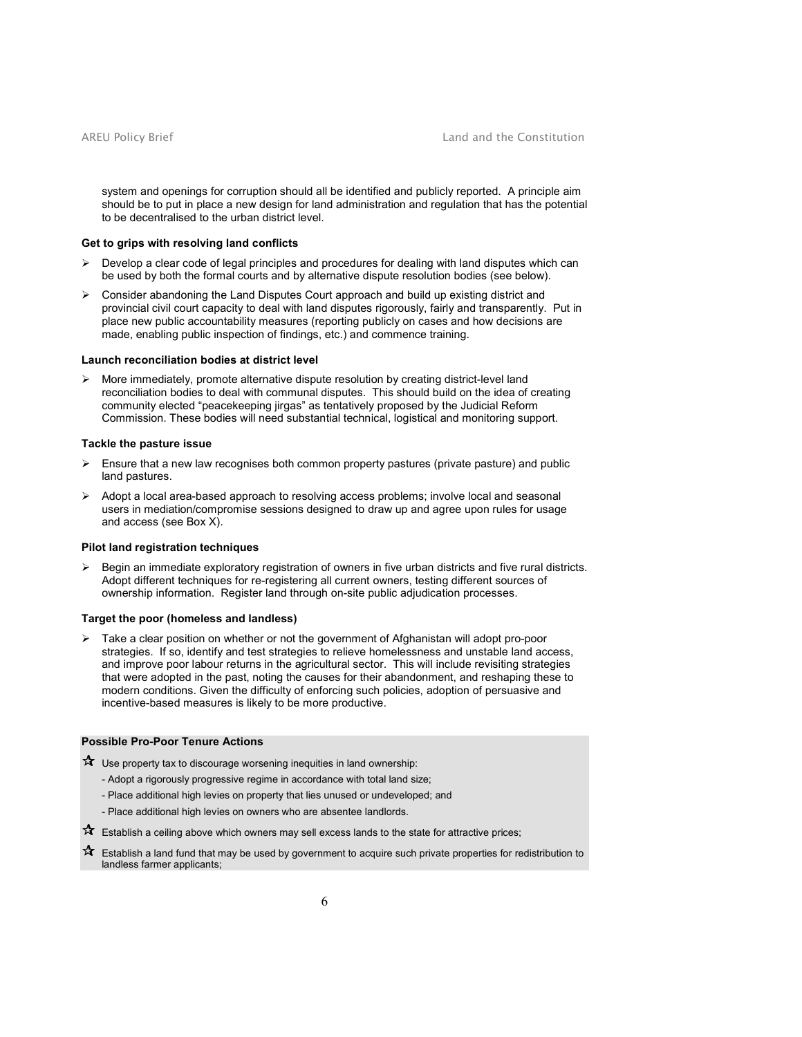system and openings for corruption should all be identified and publicly reported. A principle aim should be to put in place a new design for land administration and regulation that has the potential to be decentralised to the urban district level.

#### Get to grips with resolving land conflicts

- $\triangleright$  Develop a clear code of legal principles and procedures for dealing with land disputes which can be used by both the formal courts and by alternative dispute resolution bodies (see below).
- > Consider abandoning the Land Disputes Court approach and build up existing district and provincial civil court capacity to deal with land disputes rigorously, fairly and transparently. Put in place new public accountability measures (reporting publicly on cases and how decisions are made, enabling public inspection of findings, etc.) and commence training.

#### Launch reconciliation bodies at district level

> More immediately, promote alternative dispute resolution by creating district-level land reconciliation bodies to deal with communal disputes. This should build on the idea of creating community elected "peacekeeping jirgas" as tentatively proposed by the Judicial Reform Commission. These bodies will need substantial technical, logistical and monitoring support.

#### Tackle the pasture issue

- > Ensure that a new law recognises both common property pastures (private pasture) and public land pastures.
- $\blacktriangleright$  Adopt a local area-based approach to resolving access problems; involve local and seasonal users in mediation/compromise sessions designed to draw up and agree upon rules for usage and access (see Box X).

# Pilot land registration techniques

 $\blacktriangleright$  Begin an immediate exploratory registration of owners in five urban districts and five rural districts. Adopt different techniques for re-registering all current owners, testing different sources of ownership information. Register land through on-site public adjudication processes.

#### Target the poor (homeless and landless)

- Take a clear position on whether or not the government of Afghanistan will adopt pro-poor strategies. If so, identify and test strategies to relieve homelessness and unstable land access, and improve poor labour returns in the agricultural sector. This will include revisiting strategies that were adopted in the past, noting the causes for their abandonment, and reshaping these to modern conditions. Given the difficulty of enforcing such policies, adoption of persuasive and incentive-based measures is likely to be more productive.

# Possible Pro-Poor Tenure Actions

 $\mathbf{\hat{x}}$  Use property tax to discourage worsening inequities in land ownership:

- Adopt a rigorously progressive regime in accordance with total land size;
- Place additional high levies on property that lies unused or undeveloped; and
- Place additional high levies on owners who are absentee landlords.
- $\mathbf{\hat{x}}$  Establish a ceiling above which owners may sell excess lands to the state for attractive prices;
- **A** Establish a land fund that may be used by government to acquire such private properties for redistribution to landless farmer applicants;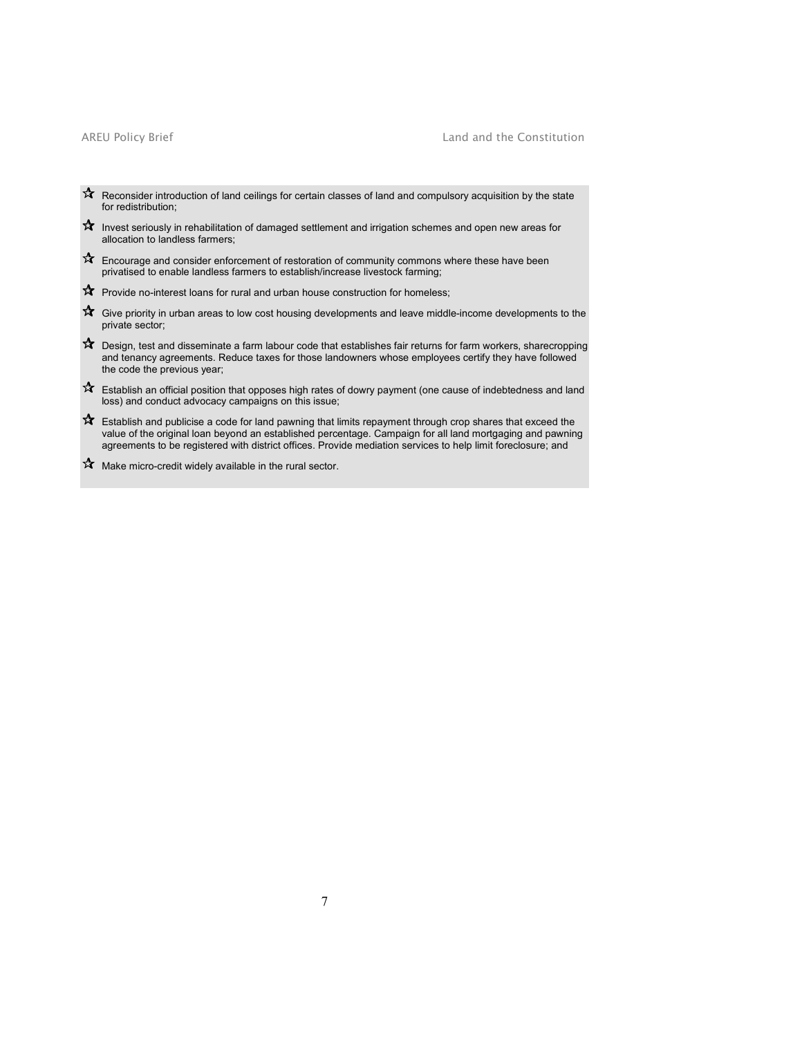# AREU Policy Brief **Land and the Constitution**

- Reconsider introduction of land ceilings for certain classes of land and compulsory acquisition by the state for redistribution;
- $\mathbf{\hat{x}}$  Invest seriously in rehabilitation of damaged settlement and irrigation schemes and open new areas for allocation to landless farmers;
- $\mathbf{\hat{x}}$  Encourage and consider enforcement of restoration of community commons where these have been privatised to enable landless farmers to establish/increase livestock farming;
- $\mathbf{\hat{x}}$  Provide no-interest loans for rural and urban house construction for homeless;
- $\mathbf{\hat{x}}$  Give priority in urban areas to low cost housing developments and leave middle-income developments to the private sector;
- Design, test and disseminate a farm labour code that establishes fair returns for farm workers, sharecropping and tenancy agreements. Reduce taxes for those landowners whose employees certify they have followed the code the previous year;
- $\mathbf{\hat{x}}$  Establish an official position that opposes high rates of dowry payment (one cause of indebtedness and land loss) and conduct advocacy campaigns on this issue;
- $\mathbf{\hat{x}}$  Establish and publicise a code for land pawning that limits repayment through crop shares that exceed the value of the original loan beyond an established percentage. Campaign for all land mortgaging and pawning agreements to be registered with district offices. Provide mediation services to help limit foreclosure; and
- $\mathbf{\hat{x}}$  Make micro-credit widely available in the rural sector.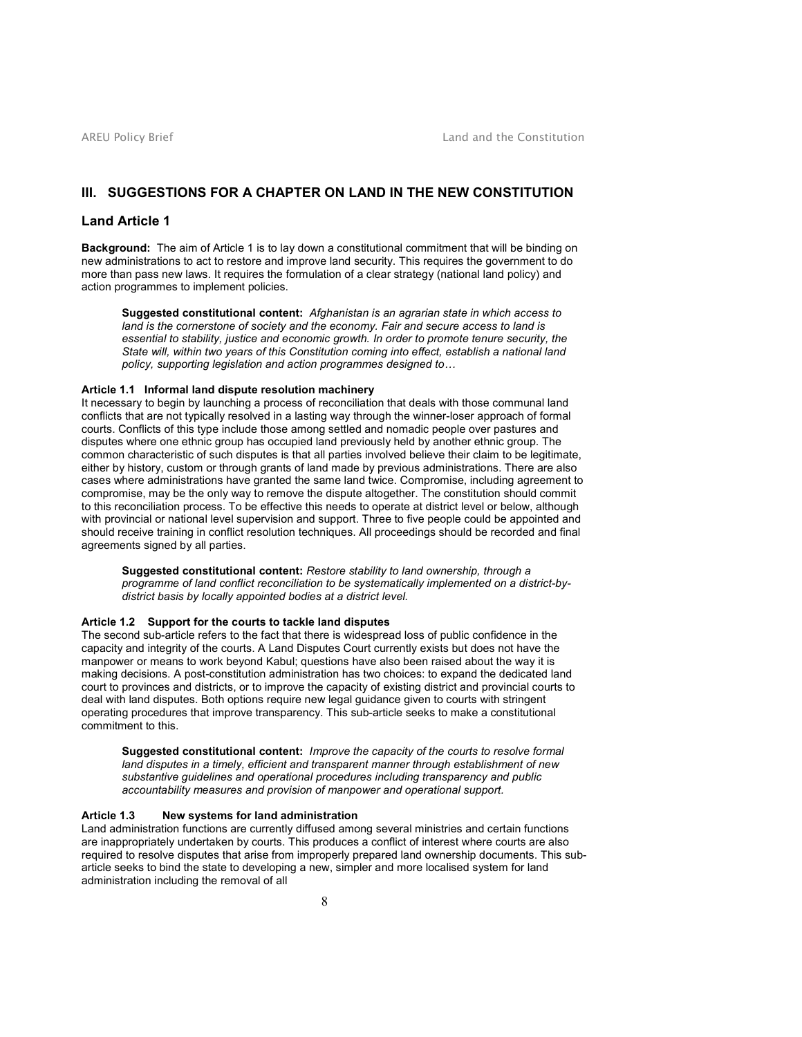# III. SUGGESTIONS FOR A CHAPTER ON LAND IN THE NEW CONSTITUTION

# Land Article 1

Background: The aim of Article 1 is to lay down a constitutional commitment that will be binding on new administrations to act to restore and improve land security. This requires the government to do more than pass new laws. It requires the formulation of a clear strategy (national land policy) and action programmes to implement policies.

Suggested constitutional content: Afghanistan is an agrarian state in which access to land is the cornerstone of society and the economy. Fair and secure access to land is essential to stability, justice and economic growth. In order to promote tenure security, the State will, within two years of this Constitution coming into effect, establish a national land policy, supporting legislation and action programmes designed to…

### Article 1.1 Informal land dispute resolution machinery

It necessary to begin by launching a process of reconciliation that deals with those communal land conflicts that are not typically resolved in a lasting way through the winner-loser approach of formal courts. Conflicts of this type include those among settled and nomadic people over pastures and disputes where one ethnic group has occupied land previously held by another ethnic group. The common characteristic of such disputes is that all parties involved believe their claim to be legitimate, either by history, custom or through grants of land made by previous administrations. There are also cases where administrations have granted the same land twice. Compromise, including agreement to compromise, may be the only way to remove the dispute altogether. The constitution should commit to this reconciliation process. To be effective this needs to operate at district level or below, although with provincial or national level supervision and support. Three to five people could be appointed and should receive training in conflict resolution techniques. All proceedings should be recorded and final agreements signed by all parties.

Suggested constitutional content: Restore stability to land ownership, through a programme of land conflict reconciliation to be systematically implemented on a district-bydistrict basis by locally appointed bodies at a district level.

# Article 1.2 Support for the courts to tackle land disputes

The second sub-article refers to the fact that there is widespread loss of public confidence in the capacity and integrity of the courts. A Land Disputes Court currently exists but does not have the manpower or means to work beyond Kabul; questions have also been raised about the way it is making decisions. A post-constitution administration has two choices: to expand the dedicated land court to provinces and districts, or to improve the capacity of existing district and provincial courts to deal with land disputes. Both options require new legal guidance given to courts with stringent operating procedures that improve transparency. This sub-article seeks to make a constitutional commitment to this.

Suggested constitutional content: Improve the capacity of the courts to resolve formal land disputes in a timely, efficient and transparent manner through establishment of new substantive guidelines and operational procedures including transparency and public accountability measures and provision of manpower and operational support.

# Article 1.3 New systems for land administration

Land administration functions are currently diffused among several ministries and certain functions are inappropriately undertaken by courts. This produces a conflict of interest where courts are also required to resolve disputes that arise from improperly prepared land ownership documents. This subarticle seeks to bind the state to developing a new, simpler and more localised system for land administration including the removal of all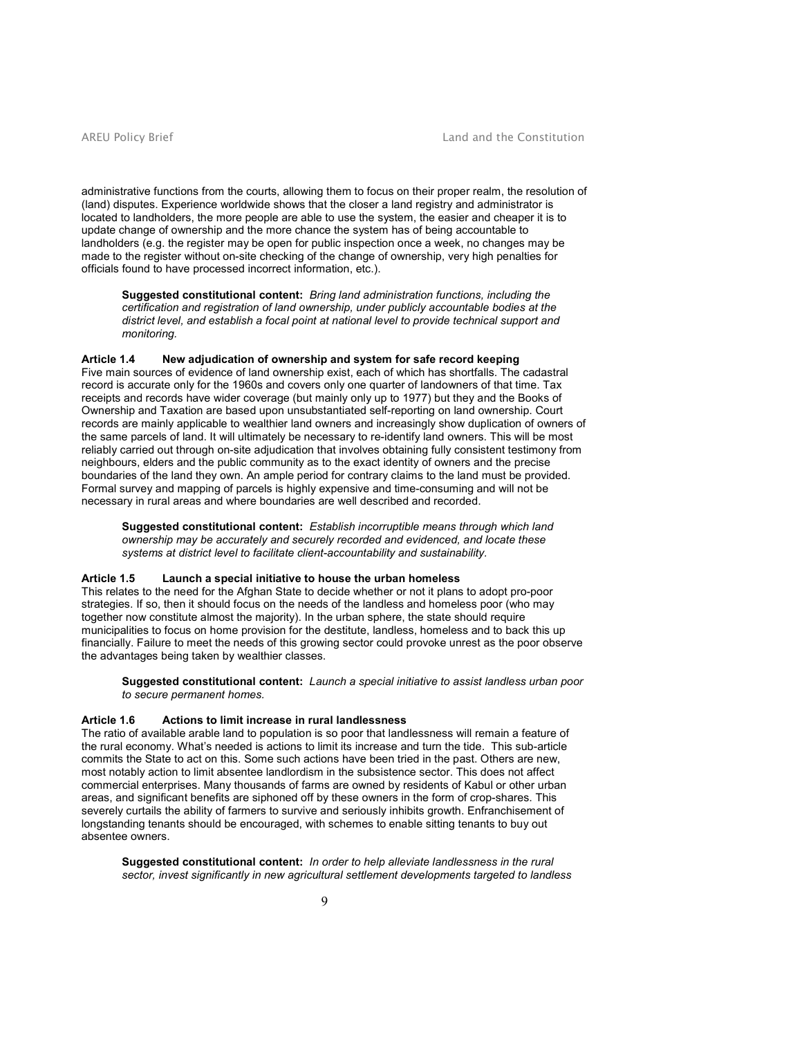administrative functions from the courts, allowing them to focus on their proper realm, the resolution of (land) disputes. Experience worldwide shows that the closer a land registry and administrator is located to landholders, the more people are able to use the system, the easier and cheaper it is to update change of ownership and the more chance the system has of being accountable to landholders (e.g. the register may be open for public inspection once a week, no changes may be made to the register without on-site checking of the change of ownership, very high penalties for officials found to have processed incorrect information, etc.).

Suggested constitutional content: Bring land administration functions, including the certification and registration of land ownership, under publicly accountable bodies at the district level, and establish a focal point at national level to provide technical support and monitoring.

# Article 1.4 New adjudication of ownership and system for safe record keeping

Five main sources of evidence of land ownership exist, each of which has shortfalls. The cadastral record is accurate only for the 1960s and covers only one quarter of landowners of that time. Tax receipts and records have wider coverage (but mainly only up to 1977) but they and the Books of Ownership and Taxation are based upon unsubstantiated self-reporting on land ownership. Court records are mainly applicable to wealthier land owners and increasingly show duplication of owners of the same parcels of land. It will ultimately be necessary to re-identify land owners. This will be most reliably carried out through on-site adjudication that involves obtaining fully consistent testimony from neighbours, elders and the public community as to the exact identity of owners and the precise boundaries of the land they own. An ample period for contrary claims to the land must be provided. Formal survey and mapping of parcels is highly expensive and time-consuming and will not be necessary in rural areas and where boundaries are well described and recorded.

Suggested constitutional content: Establish incorruptible means through which land ownership may be accurately and securely recorded and evidenced, and locate these systems at district level to facilitate client-accountability and sustainability.

# Article 1.5 Launch a special initiative to house the urban homeless

This relates to the need for the Afghan State to decide whether or not it plans to adopt pro-poor strategies. If so, then it should focus on the needs of the landless and homeless poor (who may together now constitute almost the majority). In the urban sphere, the state should require municipalities to focus on home provision for the destitute, landless, homeless and to back this up financially. Failure to meet the needs of this growing sector could provoke unrest as the poor observe the advantages being taken by wealthier classes.

Suggested constitutional content: Launch a special initiative to assist landless urban poor to secure permanent homes.

# Article 1.6 Actions to limit increase in rural landlessness

The ratio of available arable land to population is so poor that landlessness will remain a feature of the rural economy. What's needed is actions to limit its increase and turn the tide. This sub-article commits the State to act on this. Some such actions have been tried in the past. Others are new, most notably action to limit absentee landlordism in the subsistence sector. This does not affect commercial enterprises. Many thousands of farms are owned by residents of Kabul or other urban areas, and significant benefits are siphoned off by these owners in the form of crop-shares. This severely curtails the ability of farmers to survive and seriously inhibits growth. Enfranchisement of longstanding tenants should be encouraged, with schemes to enable sitting tenants to buy out absentee owners.

Suggested constitutional content: In order to help alleviate landlessness in the rural sector, invest significantly in new agricultural settlement developments targeted to landless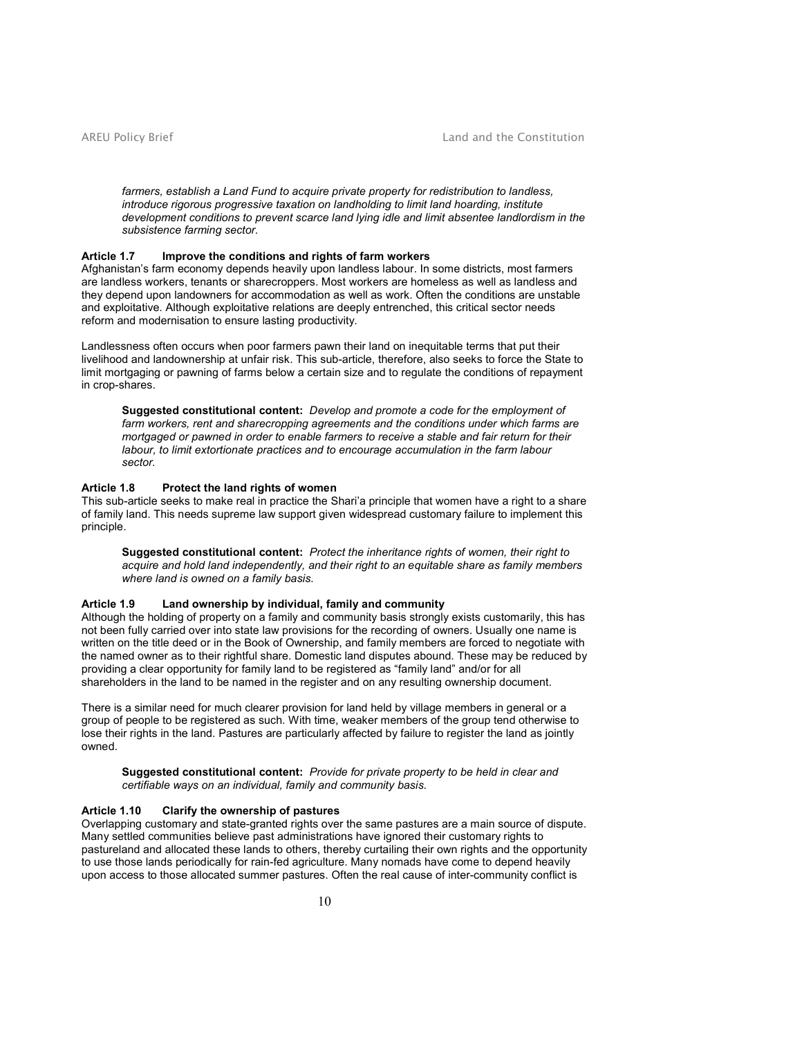farmers, establish a Land Fund to acquire private property for redistribution to landless, introduce rigorous progressive taxation on landholding to limit land hoarding, institute development conditions to prevent scarce land lying idle and limit absentee landlordism in the subsistence farming sector.

# Article 1.7 Improve the conditions and rights of farm workers

Afghanistan's farm economy depends heavily upon landless labour. In some districts, most farmers are landless workers, tenants or sharecroppers. Most workers are homeless as well as landless and they depend upon landowners for accommodation as well as work. Often the conditions are unstable and exploitative. Although exploitative relations are deeply entrenched, this critical sector needs reform and modernisation to ensure lasting productivity.

Landlessness often occurs when poor farmers pawn their land on inequitable terms that put their livelihood and landownership at unfair risk. This sub-article, therefore, also seeks to force the State to limit mortgaging or pawning of farms below a certain size and to regulate the conditions of repayment in crop-shares.

Suggested constitutional content: Develop and promote a code for the employment of farm workers, rent and sharecropping agreements and the conditions under which farms are mortgaged or pawned in order to enable farmers to receive a stable and fair return for their labour, to limit extortionate practices and to encourage accumulation in the farm labour sector.

### Article 1.8 Protect the land rights of women

This sub-article seeks to make real in practice the Shari'a principle that women have a right to a share of family land. This needs supreme law support given widespread customary failure to implement this principle.

Suggested constitutional content: Protect the inheritance rights of women, their right to acquire and hold land independently, and their right to an equitable share as family members where land is owned on a family basis.

# Article 1.9 Land ownership by individual, family and community

Although the holding of property on a family and community basis strongly exists customarily, this has not been fully carried over into state law provisions for the recording of owners. Usually one name is written on the title deed or in the Book of Ownership, and family members are forced to negotiate with the named owner as to their rightful share. Domestic land disputes abound. These may be reduced by providing a clear opportunity for family land to be registered as "family land" and/or for all shareholders in the land to be named in the register and on any resulting ownership document.

There is a similar need for much clearer provision for land held by village members in general or a group of people to be registered as such. With time, weaker members of the group tend otherwise to lose their rights in the land. Pastures are particularly affected by failure to register the land as jointly owned.

Suggested constitutional content: Provide for private property to be held in clear and certifiable ways on an individual, family and community basis.

# Article 1.10 Clarify the ownership of pastures

Overlapping customary and state-granted rights over the same pastures are a main source of dispute. Many settled communities believe past administrations have ignored their customary rights to pastureland and allocated these lands to others, thereby curtailing their own rights and the opportunity to use those lands periodically for rain-fed agriculture. Many nomads have come to depend heavily upon access to those allocated summer pastures. Often the real cause of inter-community conflict is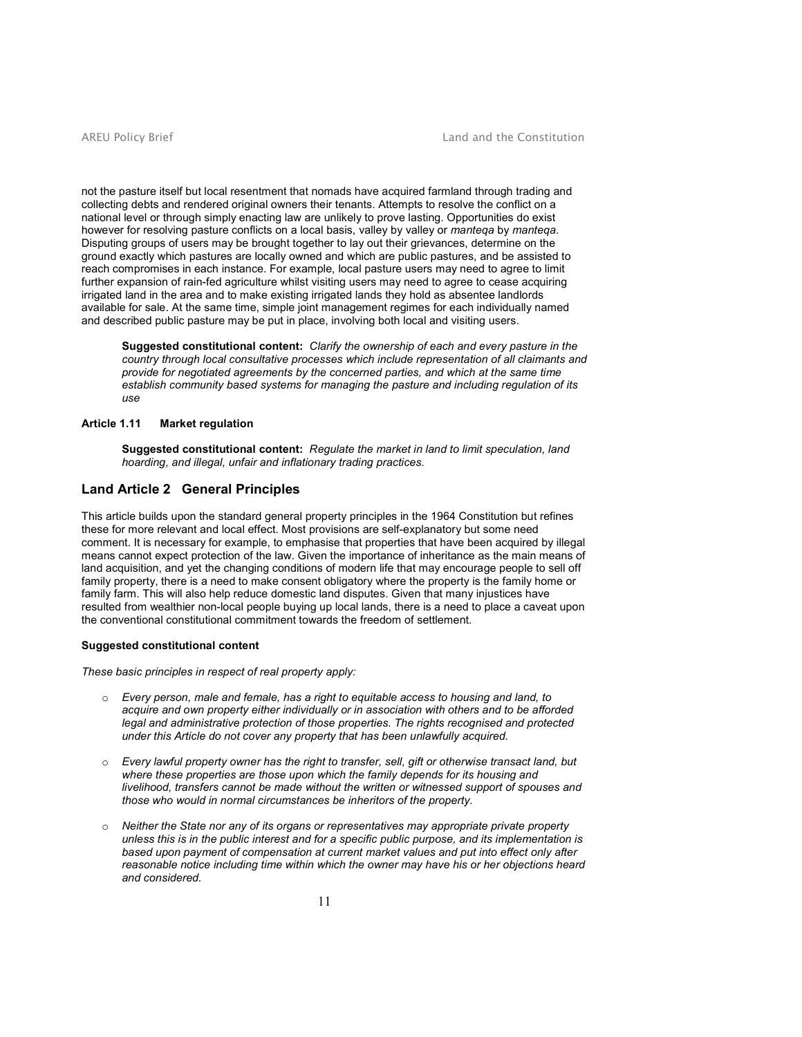not the pasture itself but local resentment that nomads have acquired farmland through trading and collecting debts and rendered original owners their tenants. Attempts to resolve the conflict on a national level or through simply enacting law are unlikely to prove lasting. Opportunities do exist however for resolving pasture conflicts on a local basis, valley by valley or manteqa by manteqa. Disputing groups of users may be brought together to lay out their grievances, determine on the ground exactly which pastures are locally owned and which are public pastures, and be assisted to reach compromises in each instance. For example, local pasture users may need to agree to limit further expansion of rain-fed agriculture whilst visiting users may need to agree to cease acquiring irrigated land in the area and to make existing irrigated lands they hold as absentee landlords available for sale. At the same time, simple joint management regimes for each individually named and described public pasture may be put in place, involving both local and visiting users.

Suggested constitutional content: Clarify the ownership of each and every pasture in the country through local consultative processes which include representation of all claimants and provide for negotiated agreements by the concerned parties, and which at the same time establish community based systems for managing the pasture and including regulation of its use

# Article 1.11 Market regulation

Suggested constitutional content: Regulate the market in land to limit speculation, land hoarding, and illegal, unfair and inflationary trading practices.

# Land Article 2 General Principles

This article builds upon the standard general property principles in the 1964 Constitution but refines these for more relevant and local effect. Most provisions are self-explanatory but some need comment. It is necessary for example, to emphasise that properties that have been acquired by illegal means cannot expect protection of the law. Given the importance of inheritance as the main means of land acquisition, and yet the changing conditions of modern life that may encourage people to sell off family property, there is a need to make consent obligatory where the property is the family home or family farm. This will also help reduce domestic land disputes. Given that many injustices have resulted from wealthier non-local people buying up local lands, there is a need to place a caveat upon the conventional constitutional commitment towards the freedom of settlement.

#### Suggested constitutional content

These basic principles in respect of real property apply:

- o Every person, male and female, has a right to equitable access to housing and land, to acquire and own property either individually or in association with others and to be afforded legal and administrative protection of those properties. The rights recognised and protected under this Article do not cover any property that has been unlawfully acquired.
- $\circ$  Every lawful property owner has the right to transfer, sell, gift or otherwise transact land, but where these properties are those upon which the family depends for its housing and livelihood, transfers cannot be made without the written or witnessed support of spouses and those who would in normal circumstances be inheritors of the property.
- $\circ$  Neither the State nor any of its organs or representatives may appropriate private property unless this is in the public interest and for a specific public purpose, and its implementation is based upon payment of compensation at current market values and put into effect only after reasonable notice including time within which the owner may have his or her objections heard and considered.